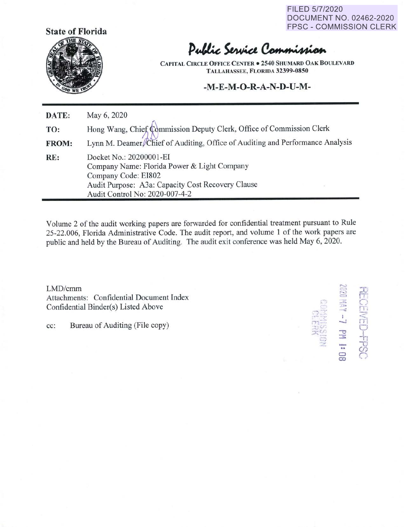FILED 5/7/2020 DOCUMENT NO. 02462-2020 FPSC - COMMISSION CLERK



## Public Service Commission

**CAPITAL CIRCLE OFFICE CENTER• 2540 SHUMARD OAK BO LEVARD TALLAHASSEE, FLORIDA 32399-0850** 

## **-M-E-M-O-R-A-N-D-U-M-**

| DATE:        | May 6, 2020                                                                                                                                                                          |
|--------------|--------------------------------------------------------------------------------------------------------------------------------------------------------------------------------------|
| TO:          | Hong Wang, Chief Commission Deputy Clerk, Office of Commission Clerk                                                                                                                 |
| <b>FROM:</b> | Lynn M. Deamer Chief of Auditing, Office of Auditing and Performance Analysis                                                                                                        |
| RE:          | Docket No.: 20200001-EI<br>Company Name: Florida Power & Light Company<br>Company Code: EI802<br>Audit Purpose: A3a: Capacity Cost Recovery Clause<br>Audit Control No: 2020-007-4-2 |

Volume 2 of the audit working papers are forwarded for confidential treatment pursuant to Rule 25-22.006, Florida Administrative Code. The audit report, and volume I of the work papers are public and held by the Bureau of Auditing. The audit exit conference was held May 6, 2020.

 $LMD/cmm$ Attachments: Confidential Document Index Confidential Binder(s) Listed Above

cc: Bureau of Auditing (File copy)